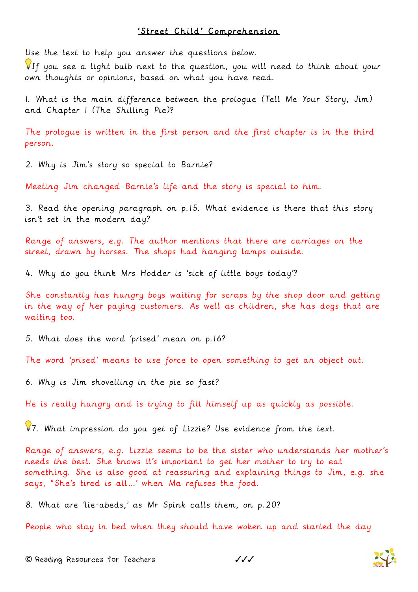## 'Street Child' Comprehension

Use the text to help you answer the questions below.

If you see a light bulb next to the question, you will need to think about your own thoughts or opinions, based on what you have read.

1. What is the main difference between the prologue (Tell Me Your Story, Jim) and Chapter 1 (The Shilling Pie)?

The prologue is written in the first person and the first chapter is in the third person.

2. Why is Jim's story so special to Barnie?

Meeting Jim changed Barnie's life and the story is special to him.

3. Read the opening paragraph on p.15. What evidence is there that this story isn't set in the modern day?

Range of answers, e.g. The author mentions that there are carriages on the street, drawn by horses. The shops had hanging lamps outside.

4. Why do you think Mrs Hodder is 'sick of little boys today'?

She constantly has hungry boys waiting for scraps by the shop door and getting in the way of her paying customers. As well as children, she has dogs that are waiting too.

5. What does the word 'prised' mean on p.16?

The word 'prised' means to use force to open something to get an object out.

6. Why is Jim shovelling in the pie so fast?

He is really hungry and is trying to fill himself up as quickly as possible.

87. What impression do you get of Lizzie? Use evidence from the text.

Range of answers, e.g. Lizzie seems to be the sister who understands her mother's needs the best. She knows it's important to get her mother to try to eat something. She is also good at reassuring and explaining things to Jim, e.g. she says, "She's tired is all…' when Ma refuses the food.

8. What are 'lie-abeds,' as Mr Spink calls them, on p.20?

People who stay in bed when they should have woken up and started the day